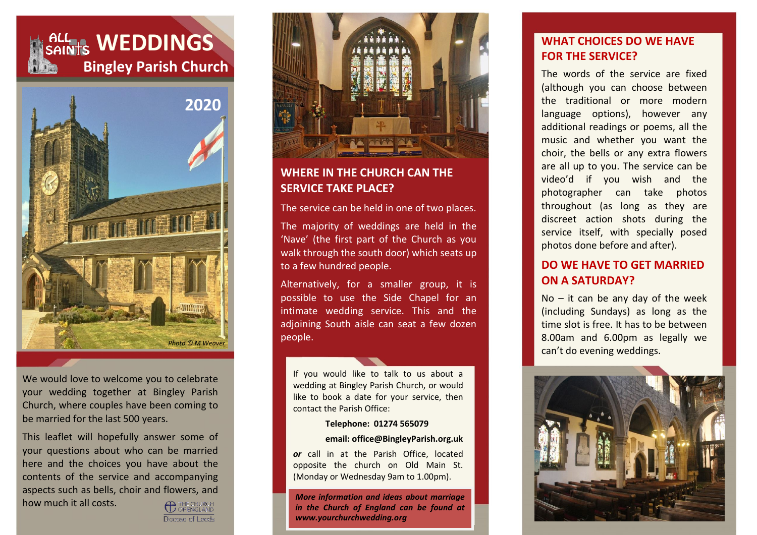



We would love to welcome you to celebrate your wedding together at Bingley Parish Church, where couples have been coming to be married for the last 500 years.

This leaflet will hopefully answer some of your questions about who can be married here and the choices you have about the contents of the service and accompanying aspects such as bells, choir and flowers, and how much it all costs.

**C** THE CHURCH Docese of Leeds



## **WHERE IN THE CHURCH CAN THE SERVICE TAKE PLACE?**

The service can be held in one of two places.

The majority of weddings are held in the 'Nave' (the first part of the Church as you walk through the south door) which seats up to a few hundred people.

Alternatively, for a smaller group, it is possible to use the Side Chapel for an intimate wedding service. This and the adjoining South aisle can seat a few dozen people.

If you would like to talk to us about a wedding at Bingley Parish Church, or would like to book a date for your service, then contact the Parish Office:

#### **Telephone: 01274 565079**

#### **email[: office@BingleyParish.org.uk](mailto:office@BingleyParish.org.uk)**

*or* call in at the Parish Office, located opposite the church on Old Main St. (Monday or Wednesday 9am to 1.00pm).

*More information and ideas about marriage in the Church of England can be found at [www.yourchurchwedding.org](http://www.yourchurchwedding.org/)*

## **WHAT CHOICES DO WE HAVE FOR THE SERVICE?**

The words of the service are fixed (although you can choose between the traditional or more modern language options), however any additional readings or poems, all the music and whether you want the choir, the bells or any extra flowers are all up to you. The service can be video'd if you wish and the photographer can take photos throughout (as long as they are discreet action shots during the service itself, with specially posed photos done before and after).

#### **DO WE HAVE TO GET MARRIED ON A SATURDAY?**

 $No - it$  can be any day of the week (including Sundays) as long as the time slot is free. It has to be between 8.00am and 6.00pm as legally we can't do evening weddings.